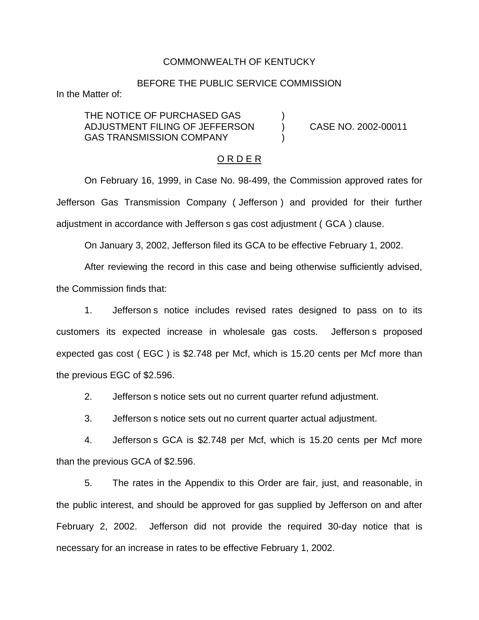### COMMONWEALTH OF KENTUCKY

### BEFORE THE PUBLIC SERVICE COMMISSION

In the Matter of:

THE NOTICE OF PURCHASED GAS ADJUSTMENT FILING OF JEFFERSON ) CASE NO. 2002-00011 GAS TRANSMISSION COMPANY

#### O R D E R

On February 16, 1999, in Case No. 98-499, the Commission approved rates for Jefferson Gas Transmission Company ( Jefferson ) and provided for their further adjustment in accordance with Jefferson s gas cost adjustment ( GCA ) clause.

On January 3, 2002, Jefferson filed its GCA to be effective February 1, 2002.

After reviewing the record in this case and being otherwise sufficiently advised,

the Commission finds that:

1. Jefferson s notice includes revised rates designed to pass on to its customers its expected increase in wholesale gas costs. Jefferson s proposed expected gas cost ( EGC ) is \$2.748 per Mcf, which is 15.20 cents per Mcf more than the previous EGC of \$2.596.

2. Jefferson s notice sets out no current quarter refund adjustment.

3. Jefferson s notice sets out no current quarter actual adjustment.

4. Jefferson s GCA is \$2.748 per Mcf, which is 15.20 cents per Mcf more than the previous GCA of \$2.596.

5. The rates in the Appendix to this Order are fair, just, and reasonable, in the public interest, and should be approved for gas supplied by Jefferson on and after February 2, 2002. Jefferson did not provide the required 30-day notice that is necessary for an increase in rates to be effective February 1, 2002.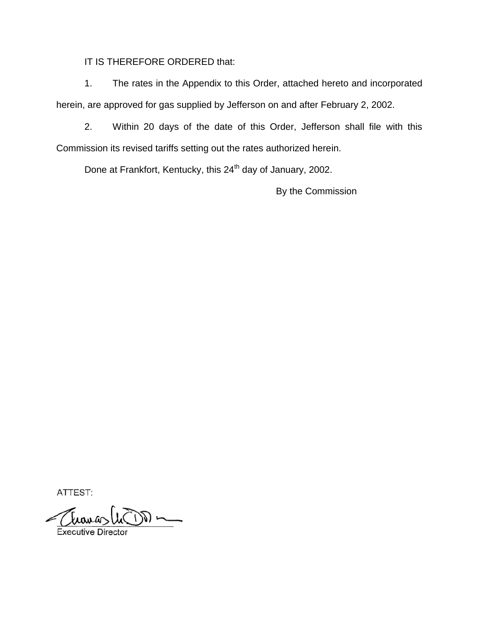IT IS THEREFORE ORDERED that:

1. The rates in the Appendix to this Order, attached hereto and incorporated herein, are approved for gas supplied by Jefferson on and after February 2, 2002.

2. Within 20 days of the date of this Order, Jefferson shall file with this Commission its revised tariffs setting out the rates authorized herein.

Done at Frankfort, Kentucky, this 24<sup>th</sup> day of January, 2002.

By the Commission

ATTEST: